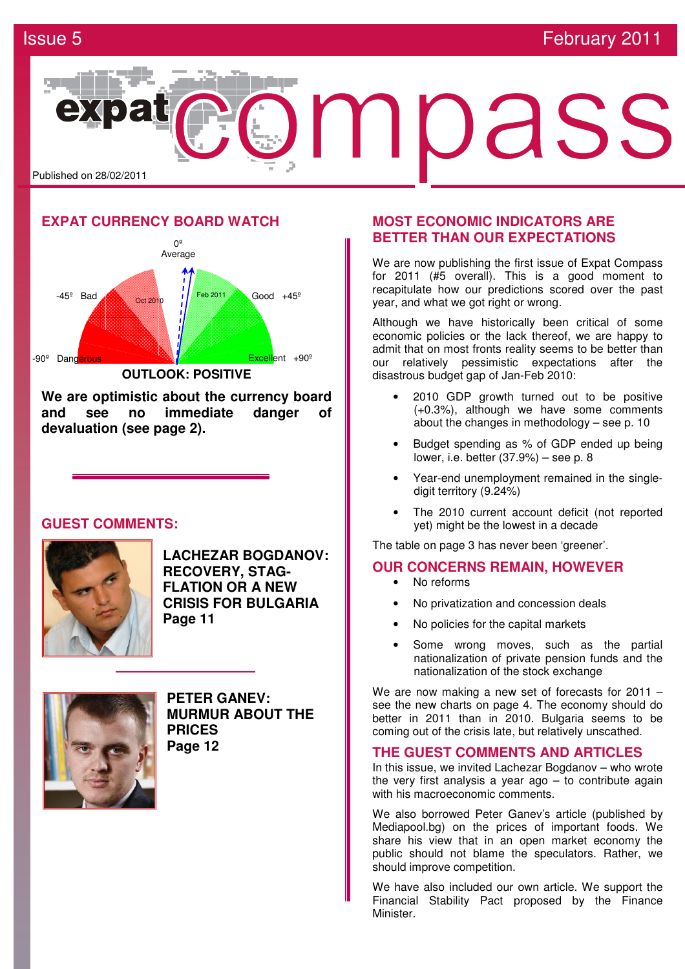

## **EXPAT CURRENCY BOARD WATCH**



**We are optimistic about the currency board and see no immediate danger of devaluation (see page 2).**

## **GUEST COMMENTS:**



**LACHEZAR BOGDANOV: RECOVERY, STAG-FLATION OR A NEW CRISIS FOR BULGARIA Page 11** 



**PETER GANEV: MURMUR ABOUT THE PRICES Page 12** 

## **MOST ECONOMIC INDICATORS ARE BETTER THAN OUR EXPECTATIONS**

We are now publishing the first issue of Expat Compass for 2011 (#5 overall). This is a good moment to recapitulate how our predictions scored over the past year, and what we got right or wrong.

Although we have historically been critical of some economic policies or the lack thereof, we are happy to admit that on most fronts reality seems to be better than our relatively pessimistic expectations after the disastrous budget gap of Jan-Feb 2010:

- 2010 GDP growth turned out to be positive (+0.3%), although we have some comments about the changes in methodology – see p. 10
- Budget spending as % of GDP ended up being lower, i.e. better (37.9%) – see p. 8
- Year-end unemployment remained in the singledigit territory (9.24%)
- The 2010 current account deficit (not reported yet) might be the lowest in a decade

The table on page 3 has never been 'greener'.

## **OUR CONCERNS REMAIN, HOWEVER**

- No reforms
- No privatization and concession deals
- No policies for the capital markets
- Some wrong moves, such as the partial nationalization of private pension funds and the nationalization of the stock exchange

We are now making a new set of forecasts for 2011 – see the new charts on page 4. The economy should do better in 2011 than in 2010. Bulgaria seems to be coming out of the crisis late, but relatively unscathed.

## **THE GUEST COMMENTS AND ARTICLES**

In this issue, we invited Lachezar Bogdanov – who wrote the very first analysis a year ago  $-$  to contribute again with his macroeconomic comments.

We also borrowed Peter Ganey's article (published by Mediapool.bg) on the prices of important foods. We share his view that in an open market economy the public should not blame the speculators. Rather, we should improve competition.

We have also included our own article. We support the Financial Stability Pact proposed by the Finance Minister.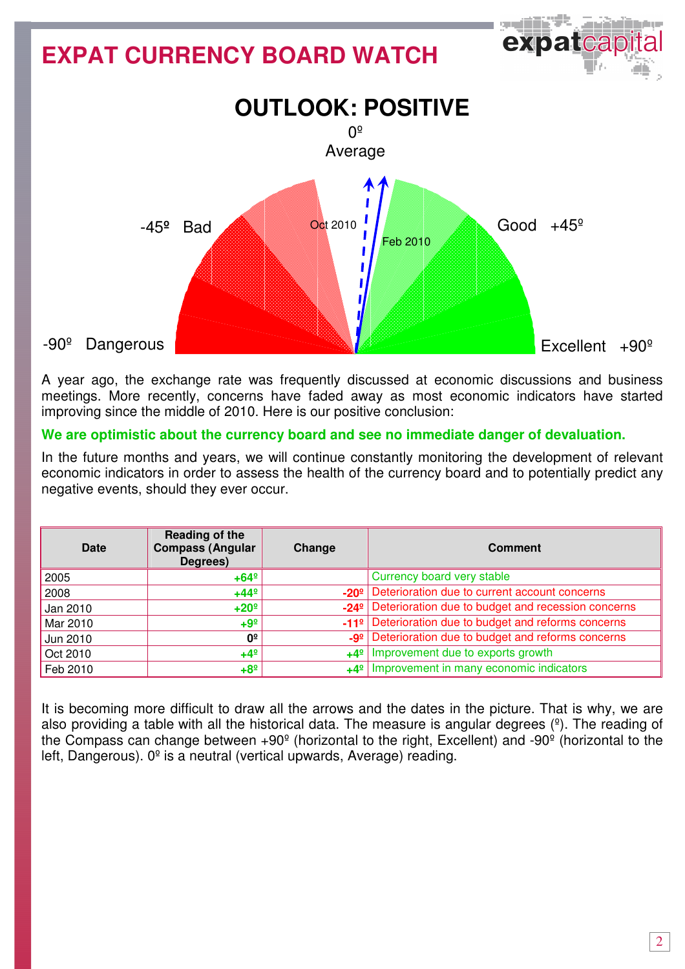# $\Theta$  is the  $\Theta$ **EXPAT CURRENCY BOARD WATCH OUTLOOK: POSITIVE**   $0<sup>°</sup>$ Average Oct 2010 Good  $+45^{\circ}$  -45**º** Bad Feb 2010 -90º Dangerous  $Fixed$ Excellent  $+90^{\circ}$

A year ago, the exchange rate was frequently discussed at economic discussions and business meetings. More recently, concerns have faded away as most economic indicators have started improving since the middle of 2010. Here is our positive conclusion:

## **We are optimistic about the currency board and see no immediate danger of devaluation.**

In the future months and years, we will continue constantly monitoring the development of relevant economic indicators in order to assess the health of the currency board and to potentially predict any negative events, should they ever occur.

| Date     | Reading of the<br><b>Compass (Angular</b><br>Degrees) | Change | <b>Comment</b>                                                      |
|----------|-------------------------------------------------------|--------|---------------------------------------------------------------------|
| 2005     | $+64^{\circ}$                                         |        | Currency board very stable                                          |
| 2008     | $+44^{\circ}$                                         |        | -20 <sup>°</sup> Deterioration due to current account concerns      |
| Jan 2010 | $+20°$                                                |        | -24 <sup>°</sup> Deterioration due to budget and recession concerns |
| Mar 2010 | $+9^{\circ}$                                          |        | -11 <sup>º</sup> Deterioration due to budget and reforms concerns   |
| Jun 2010 | 0 <sup>°</sup>                                        |        | -9 <sup>2</sup> Deterioration due to budget and reforms concerns    |
| Oct 2010 | $+4^{\circ}$                                          |        | $+4^{\circ}$ Improvement due to exports growth                      |
| Feb 2010 | $+8^{\circ}$                                          |        | $+4^{\circ}$ Improvement in many economic indicators                |

It is becoming more difficult to draw all the arrows and the dates in the picture. That is why, we are also providing a table with all the historical data. The measure is angular degrees  $(°)$ . The reading of the Compass can change between  $+90^{\circ}$  (horizontal to the right, Excellent) and  $-90^{\circ}$  (horizontal to the left, Dangerous). 0º is a neutral (vertical upwards, Average) reading.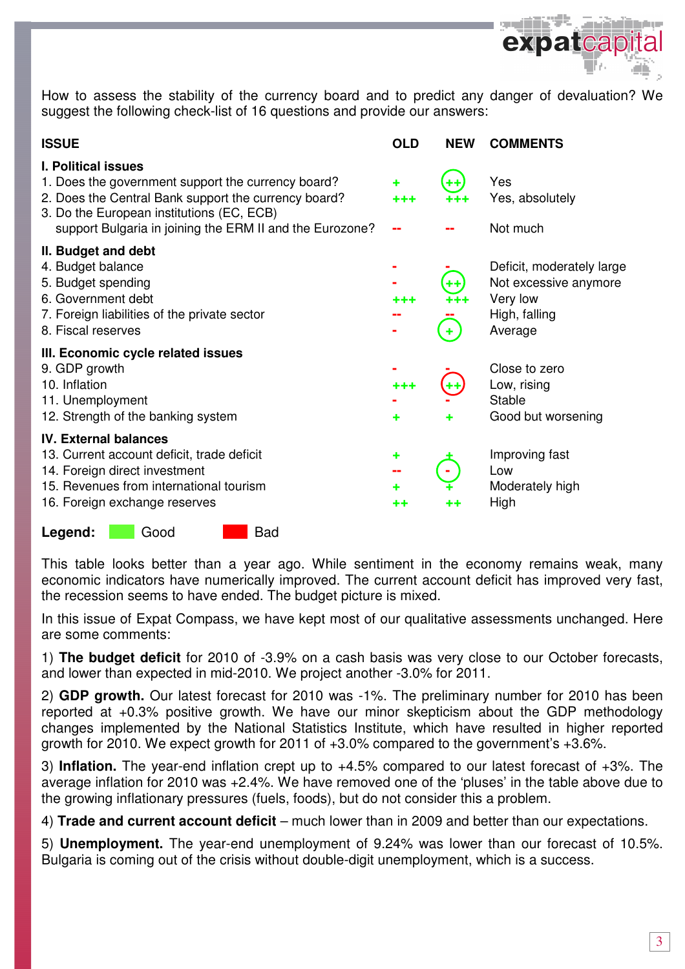

How to assess the stability of the currency board and to predict any danger of devaluation? We suggest the following check-list of 16 questions and provide our answers:

| <b>ISSUE</b>                                                                                                                                                                                                                                      | <b>OLD</b>   | <b>NEW</b> | <b>COMMENTS</b>                                                                            |
|---------------------------------------------------------------------------------------------------------------------------------------------------------------------------------------------------------------------------------------------------|--------------|------------|--------------------------------------------------------------------------------------------|
| <b>I. Political issues</b><br>1. Does the government support the currency board?<br>2. Does the Central Bank support the currency board?<br>3. Do the European institutions (EC, ECB)<br>support Bulgaria in joining the ERM II and the Eurozone? | ٠<br>+++     | ++         | Yes<br>Yes, absolutely<br>Not much                                                         |
| II. Budget and debt<br>4. Budget balance<br>5. Budget spending<br>6. Government debt<br>7. Foreign liabilities of the private sector<br>8. Fiscal reserves                                                                                        | +++          | ++<br>٠    | Deficit, moderately large<br>Not excessive anymore<br>Very low<br>High, falling<br>Average |
| III. Economic cycle related issues<br>9. GDP growth<br>10. Inflation<br>11. Unemployment<br>12. Strength of the banking system                                                                                                                    | $+ + +$<br>٠ |            | Close to zero<br>Low, rising<br>Stable<br>Good but worsening                               |
| <b>IV. External balances</b><br>13. Current account deficit, trade deficit<br>14. Foreign direct investment<br>15. Revenues from international tourism<br>16. Foreign exchange reserves                                                           | ٠<br>٠<br>++ | ++         | Improving fast<br>Low<br>Moderately high<br>High                                           |

Legend: Good Bad

This table looks better than a year ago. While sentiment in the economy remains weak, many economic indicators have numerically improved. The current account deficit has improved very fast, the recession seems to have ended. The budget picture is mixed.

In this issue of Expat Compass, we have kept most of our qualitative assessments unchanged. Here are some comments:

1) **The budget deficit** for 2010 of -3.9% on a cash basis was very close to our October forecasts, and lower than expected in mid-2010. We project another -3.0% for 2011.

2) **GDP growth.** Our latest forecast for 2010 was -1%. The preliminary number for 2010 has been reported at +0.3% positive growth. We have our minor skepticism about the GDP methodology changes implemented by the National Statistics Institute, which have resulted in higher reported growth for 2010. We expect growth for 2011 of +3.0% compared to the government's +3.6%.

3) **Inflation.** The year-end inflation crept up to +4.5% compared to our latest forecast of +3%. The average inflation for 2010 was +2.4%. We have removed one of the 'pluses' in the table above due to the growing inflationary pressures (fuels, foods), but do not consider this a problem.

4) **Trade and current account deficit** – much lower than in 2009 and better than our expectations.

5) **Unemployment.** The year-end unemployment of 9.24% was lower than our forecast of 10.5%. Bulgaria is coming out of the crisis without double-digit unemployment, which is a success.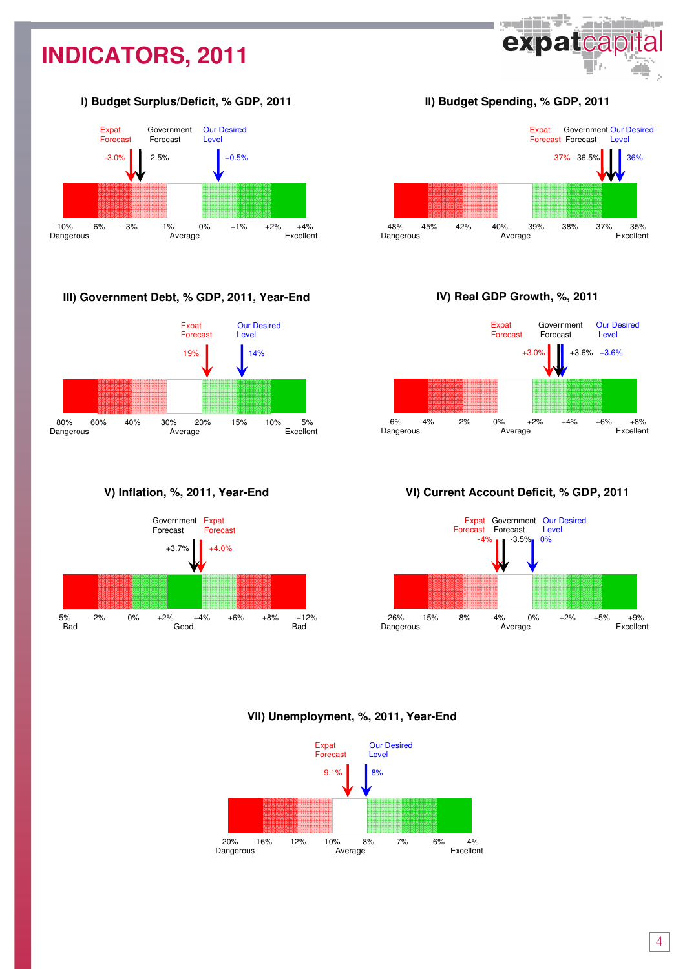## **INDICATORS, 2011**

## І**) Budget Surplus/Deficit, % GDP, 2011**



## **III) Government Debt, % GDP, 2011, Year-End**



**V) Inflation, %, 2011, Year-End** 



ІІ**) Budget Spending, % GDP, 2011** 

**SHIP** 

expatcap

وبمروان أعرقهم



І**V) Real GDP Growth, %, 2011** 



**V**І**) Current Account Deficit, % GDP, 2011** 



**VII) Unemployment, %, 2011, Year-End**

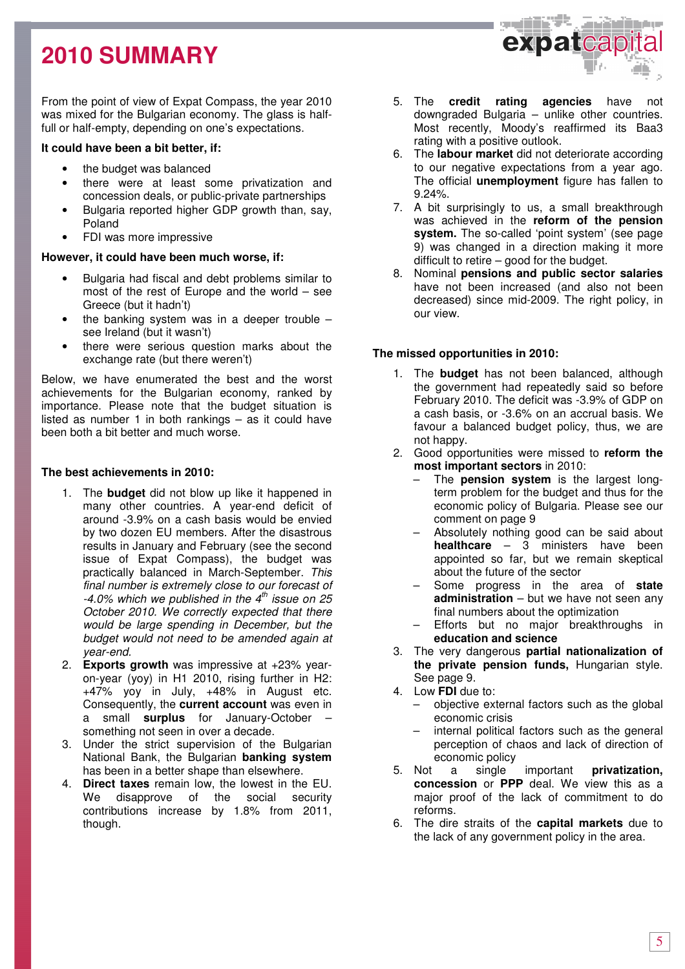## **2010 SUMMARY**

From the point of view of Expat Compass, the year 2010 was mixed for the Bulgarian economy. The glass is halffull or half-empty, depending on one's expectations.

## **It could have been a bit better, if:**

- the budget was balanced
- there were at least some privatization and concession deals, or public-private partnerships
- Bulgaria reported higher GDP growth than, say, Poland
- FDI was more impressive

## **However, it could have been much worse, if:**

- Bulgaria had fiscal and debt problems similar to most of the rest of Europe and the world – see Greece (but it hadn't)
- the banking system was in a deeper trouble  $$ see Ireland (but it wasn't)
- there were serious question marks about the exchange rate (but there weren't)

Below, we have enumerated the best and the worst achievements for the Bulgarian economy, ranked by importance. Please note that the budget situation is listed as number 1 in both rankings – as it could have been both a bit better and much worse.

## **The best achievements in 2010:**

- 1. The **budget** did not blow up like it happened in many other countries. A year-end deficit of around -3.9% on a cash basis would be envied by two dozen EU members. After the disastrous results in January and February (see the second issue of Expat Compass), the budget was practically balanced in March-September. This final number is extremely close to our forecast of  $-4.0\%$  which we published in the  $4<sup>th</sup>$  issue on 25 October 2010. We correctly expected that there would be large spending in December, but the budget would not need to be amended again at year-end.
- 2. **Exports growth** was impressive at +23% yearon-year (yoy) in H1 2010, rising further in H2: +47% yoy in July, +48% in August etc. Consequently, the **current account** was even in a small **surplus** for January-October – something not seen in over a decade.
- 3. Under the strict supervision of the Bulgarian National Bank, the Bulgarian **banking system** has been in a better shape than elsewhere.
- 4. **Direct taxes** remain low, the lowest in the EU. We disapprove of the social security contributions increase by 1.8% from 2011, though.



- 5. The **credit rating agencies** have not downgraded Bulgaria – unlike other countries. Most recently, Moody's reaffirmed its Baa3 rating with a positive outlook.
- 6. The **labour market** did not deteriorate according to our negative expectations from a year ago. The official **unemployment** figure has fallen to 9.24%.
- 7. A bit surprisingly to us, a small breakthrough was achieved in the **reform of the pension system.** The so-called 'point system' (see page 9) was changed in a direction making it more difficult to retire – good for the budget.
- 8. Nominal **pensions and public sector salaries** have not been increased (and also not been decreased) since mid-2009. The right policy, in our view.

## **The missed opportunities in 2010:**

- 1. The **budget** has not been balanced, although the government had repeatedly said so before February 2010. The deficit was -3.9% of GDP on a cash basis, or -3.6% on an accrual basis. We favour a balanced budget policy, thus, we are not happy.
- 2. Good opportunities were missed to **reform the most important sectors** in 2010:
	- The **pension system** is the largest longterm problem for the budget and thus for the economic policy of Bulgaria. Please see our comment on page 9
	- Absolutely nothing good can be said about **healthcare** – 3 ministers have been appointed so far, but we remain skeptical about the future of the sector
	- Some progress in the area of **state administration** – but we have not seen any final numbers about the optimization
	- Efforts but no major breakthroughs in **education and science**
- 3. The very dangerous **partial nationalization of the private pension funds,** Hungarian style. See page 9.
- 4. Low **FDI** due to:
	- objective external factors such as the global economic crisis
	- internal political factors such as the general perception of chaos and lack of direction of economic policy
- 5. Not a single important **privatization, concession** or **PPP** deal. We view this as a major proof of the lack of commitment to do reforms.
- 6. The dire straits of the **capital markets** due to the lack of any government policy in the area.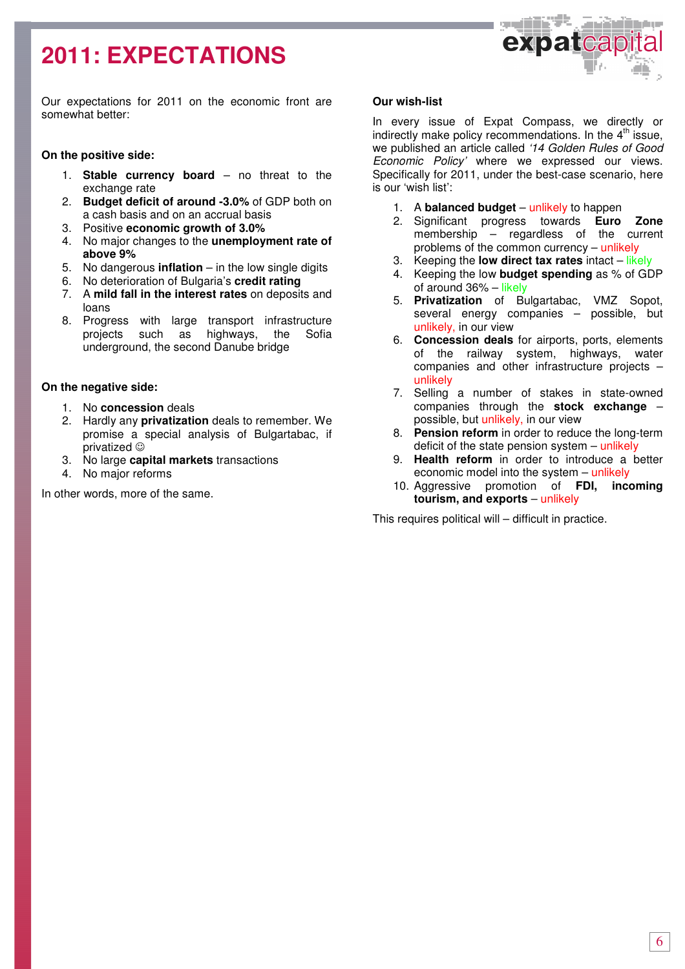## **2011: EXPECTATIONS**



Our expectations for 2011 on the economic front are somewhat better:

## **On the positive side:**

- 1. **Stable currency board** no threat to the exchange rate
- 2. **Budget deficit of around -3.0%** of GDP both on a cash basis and on an accrual basis
- 3. Positive **economic growth of 3.0%**
- 4. No major changes to the **unemployment rate of above 9%**
- 5. No dangerous **inflation** in the low single digits
- 6. No deterioration of Bulgaria's **credit rating**
- 7. A **mild fall in the interest rates** on deposits and loans
- 8. Progress with large transport infrastructure projects such as highways, the Sofia underground, the second Danube bridge

## **On the negative side:**

- 1. No **concession** deals
- 2. Hardly any **privatization** deals to remember. We promise a special analysis of Bulgartabac, if privatized ☺
- 3. No large **capital markets** transactions
- 4. No major reforms

In other words, more of the same.

### **Our wish-list**

In every issue of Expat Compass, we directly or indirectly make policy recommendations. In the  $4<sup>th</sup>$  issue, we published an article called '14 Golden Rules of Good Economic Policy' where we expressed our views. Specifically for 2011, under the best-case scenario, here is our 'wish list':

- 1. A **balanced budget** unlikely to happen
- 2. Significant progress towards **Euro Zone** membership – regardless of the current problems of the common currency – unlikely
- 3. Keeping the **low direct tax rates** intact likely
- 4. Keeping the low **budget spending** as % of GDP of around 36% – likely
- 5. **Privatization** of Bulgartabac, VMZ Sopot, several energy companies – possible, but unlikely, in our view
- 6. **Concession deals** for airports, ports, elements of the railway system, highways, water companies and other infrastructure projects – unlikely
- 7. Selling a number of stakes in state-owned companies through the **stock exchange** – possible, but unlikely, in our view
- 8. **Pension reform** in order to reduce the long-term deficit of the state pension system – unlikely
- 9. **Health reform** in order to introduce a better economic model into the system – unlikely
- 10. Aggressive promotion of **FDI, incoming tourism, and exports** – unlikely

This requires political will – difficult in practice.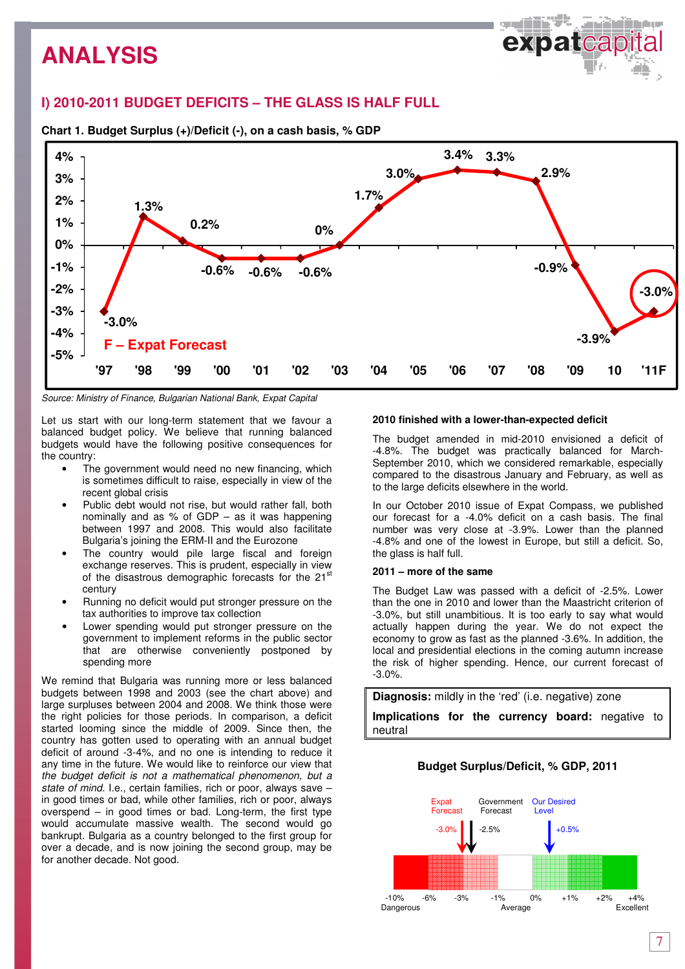## **I) 2010-2011 BUDGET DEFICITS – THE GLASS IS HALF FULL**



**Chart 1. Budget Surplus (+)/Deficit (-), on a cash basis, % GDP** 

Source: Ministry of Finance, Bulgarian National Bank, Expat Capital

Let us start with our long-term statement that we favour a balanced budget policy. We believe that running balanced budgets would have the following positive consequences for the country:

- The government would need no new financing, which is sometimes difficult to raise, especially in view of the recent global crisis
- Public debt would not rise, but would rather fall, both nominally and as % of GDP – as it was happening between 1997 and 2008. This would also facilitate Bulgaria's joining the ERM-II and the Eurozone
- The country would pile large fiscal and foreign exchange reserves. This is prudent, especially in view of the disastrous demographic forecasts for the 21<sup>st</sup> century
- Running no deficit would put stronger pressure on the tax authorities to improve tax collection
- Lower spending would put stronger pressure on the government to implement reforms in the public sector that are otherwise conveniently postponed by spending more

We remind that Bulgaria was running more or less balanced budgets between 1998 and 2003 (see the chart above) and large surpluses between 2004 and 2008. We think those were the right policies for those periods. In comparison, a deficit started looming since the middle of 2009. Since then, the country has gotten used to operating with an annual budget deficit of around -3-4%, and no one is intending to reduce it any time in the future. We would like to reinforce our view that the budget deficit is not a mathematical phenomenon, but a state of mind. I.e., certain families, rich or poor, always save – in good times or bad, while other families, rich or poor, always overspend – in good times or bad. Long-term, the first type would accumulate massive wealth. The second would go bankrupt. Bulgaria as a country belonged to the first group for over a decade, and is now joining the second group, may be for another decade. Not good.

### **2010 finished with a lower-than-expected deficit**

The budget amended in mid-2010 envisioned a deficit of -4.8%. The budget was practically balanced for March-September 2010, which we considered remarkable, especially compared to the disastrous January and February, as well as to the large deficits elsewhere in the world.

In our October 2010 issue of Expat Compass, we published our forecast for a -4.0% deficit on a cash basis. The final number was very close at -3.9%. Lower than the planned -4.8% and one of the lowest in Europe, but still a deficit. So, the glass is half full.

#### **2011 – more of the same**

The Budget Law was passed with a deficit of -2.5%. Lower than the one in 2010 and lower than the Maastricht criterion of -3.0%, but still unambitious. It is too early to say what would actually happen during the year. We do not expect the economy to grow as fast as the planned -3.6%. In addition, the local and presidential elections in the coming autumn increase the risk of higher spending. Hence, our current forecast of -3.0%.

**Diagnosis:** mildly in the 'red' (i.e. negative) zone

**Implications for the currency board:** negative to neutral

## **Budget Surplus/Deficit, % GDP, 2011**

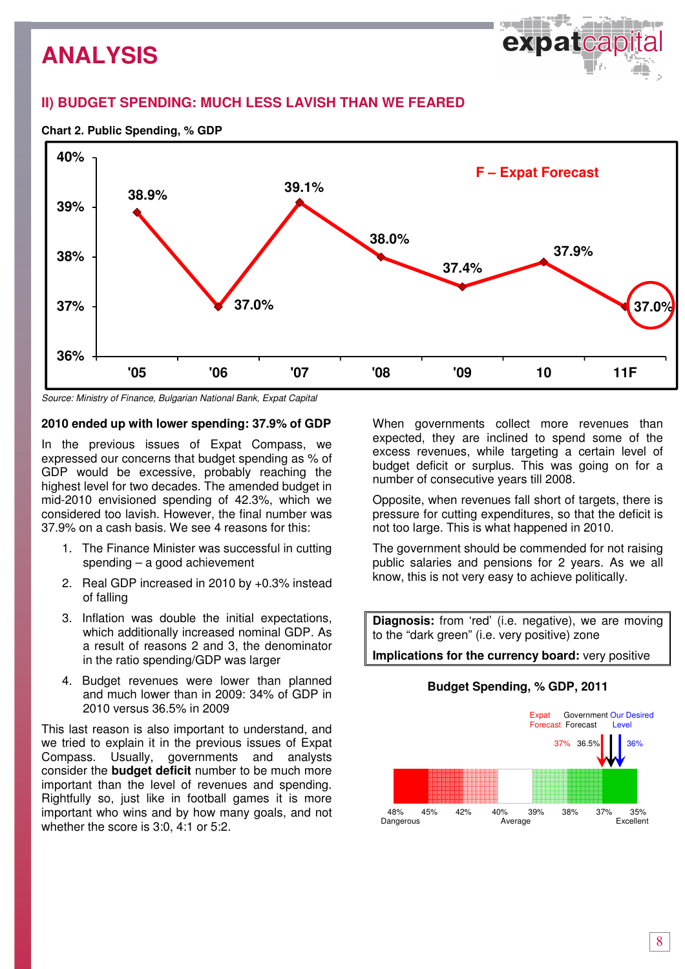

## **II) BUDGET SPENDING: MUCH LESS LAVISH THAN WE FEARED**





Source: Ministry of Finance, Bulgarian National Bank, Expat Capital

## **2010 ended up with lower spending: 37.9% of GDP**

In the previous issues of Expat Compass, we expressed our concerns that budget spending as % of GDP would be excessive, probably reaching the highest level for two decades. The amended budget in mid-2010 envisioned spending of 42.3%, which we considered too lavish. However, the final number was 37.9% on a cash basis. We see 4 reasons for this:

- 1. The Finance Minister was successful in cutting spending – a good achievement
- 2. Real GDP increased in 2010 by +0.3% instead of falling
- 3. Inflation was double the initial expectations, which additionally increased nominal GDP. As a result of reasons 2 and 3, the denominator in the ratio spending/GDP was larger
- 4. Budget revenues were lower than planned and much lower than in 2009: 34% of GDP in 2010 versus 36.5% in 2009

This last reason is also important to understand, and we tried to explain it in the previous issues of Expat Compass. Usually, governments and analysts consider the **budget deficit** number to be much more important than the level of revenues and spending. Rightfully so, just like in football games it is more important who wins and by how many goals, and not whether the score is 3:0, 4:1 or 5:2.

When governments collect more revenues than expected, they are inclined to spend some of the excess revenues, while targeting a certain level of budget deficit or surplus. This was going on for a number of consecutive years till 2008.

Opposite, when revenues fall short of targets, there is pressure for cutting expenditures, so that the deficit is not too large. This is what happened in 2010.

The government should be commended for not raising public salaries and pensions for 2 years. As we all know, this is not very easy to achieve politically.

**Diagnosis:** from 'red' (i.e. negative), we are moving to the "dark green" (i.e. very positive) zone

**Implications for the currency board:** very positive

## **Budget Spending, % GDP, 2011**

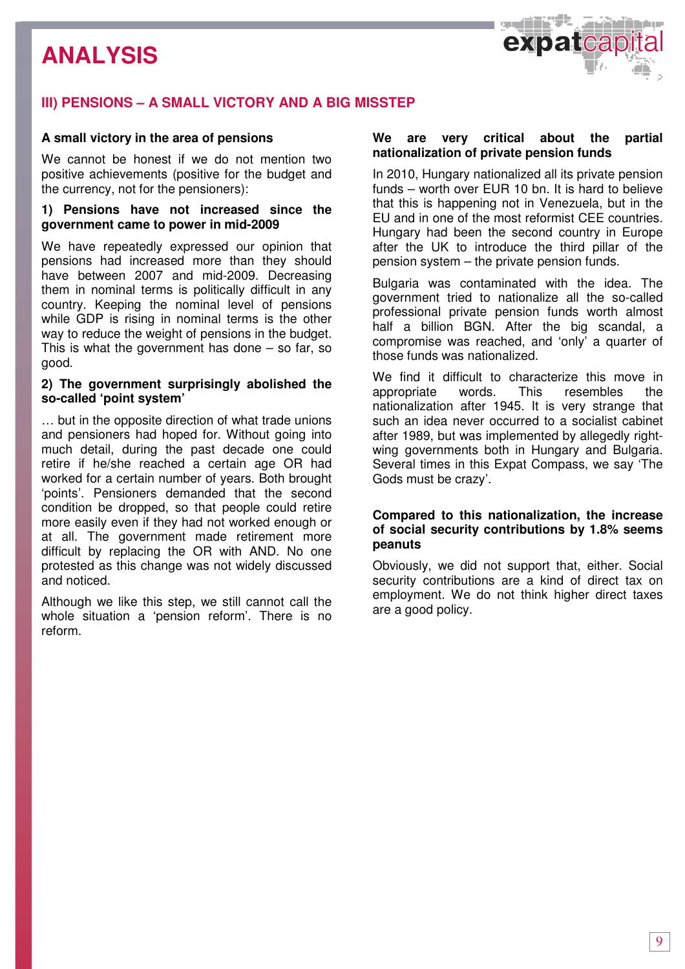

## **III) PENSIONS – A SMALL VICTORY AND A BIG MISSTEP**

## **A small victory in the area of pensions**

We cannot be honest if we do not mention two positive achievements (positive for the budget and the currency, not for the pensioners):

## **1) Pensions have not increased since the government came to power in mid-2009**

We have repeatedly expressed our opinion that pensions had increased more than they should have between 2007 and mid-2009. Decreasing them in nominal terms is politically difficult in any country. Keeping the nominal level of pensions while GDP is rising in nominal terms is the other way to reduce the weight of pensions in the budget. This is what the government has done  $-$  so far, so good.

## **2) The government surprisingly abolished the so-called 'point system'**

… but in the opposite direction of what trade unions and pensioners had hoped for. Without going into much detail, during the past decade one could retire if he/she reached a certain age OR had worked for a certain number of years. Both brought 'points'. Pensioners demanded that the second condition be dropped, so that people could retire more easily even if they had not worked enough or at all. The government made retirement more difficult by replacing the OR with AND. No one protested as this change was not widely discussed and noticed.

Although we like this step, we still cannot call the whole situation a 'pension reform'. There is no reform.

## **We are very critical about the partial nationalization of private pension funds**

In 2010, Hungary nationalized all its private pension funds – worth over EUR 10 bn. It is hard to believe that this is happening not in Venezuela, but in the EU and in one of the most reformist CEE countries. Hungary had been the second country in Europe after the UK to introduce the third pillar of the pension system – the private pension funds.

Bulgaria was contaminated with the idea. The government tried to nationalize all the so-called professional private pension funds worth almost half a billion BGN. After the big scandal, a compromise was reached, and 'only' a quarter of those funds was nationalized.

We find it difficult to characterize this move in appropriate words. This resembles the nationalization after 1945. It is very strange that such an idea never occurred to a socialist cabinet after 1989, but was implemented by allegedly rightwing governments both in Hungary and Bulgaria. Several times in this Expat Compass, we say 'The Gods must be crazy'.

## **Compared to this nationalization, the increase of social security contributions by 1.8% seems peanuts**

Obviously, we did not support that, either. Social security contributions are a kind of direct tax on employment. We do not think higher direct taxes are a good policy.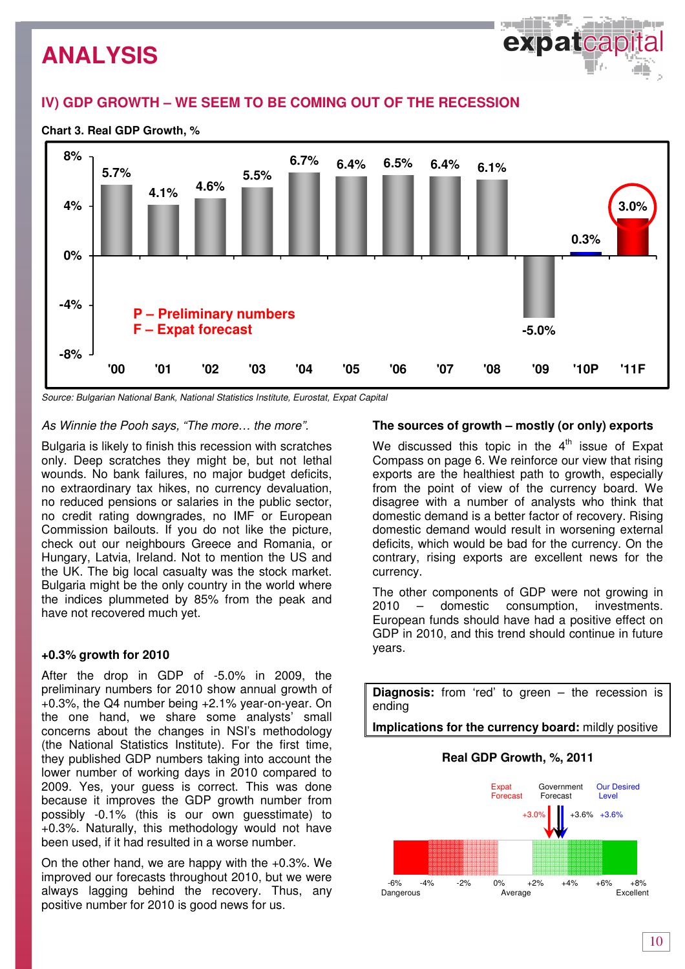## **IV) GDP GROWTH – WE SEEM TO BE COMING OUT OF THE RECESSION**

## **Chart 3. Real GDP Growth, %**



Source: Bulgarian National Bank, National Statistics Institute, Eurostat, Expat Capital

## As Winnie the Pooh says, "The more… the more".

Bulgaria is likely to finish this recession with scratches only. Deep scratches they might be, but not lethal wounds. No bank failures, no major budget deficits, no extraordinary tax hikes, no currency devaluation, no reduced pensions or salaries in the public sector, no credit rating downgrades, no IMF or European Commission bailouts. If you do not like the picture, check out our neighbours Greece and Romania, or Hungary, Latvia, Ireland. Not to mention the US and the UK. The big local casualty was the stock market. Bulgaria might be the only country in the world where the indices plummeted by 85% from the peak and have not recovered much yet.

## **+0.3% growth for 2010**

After the drop in GDP of -5.0% in 2009, the preliminary numbers for 2010 show annual growth of +0.3%, the Q4 number being +2.1% year-on-year. On the one hand, we share some analysts' small concerns about the changes in NSI's methodology (the National Statistics Institute). For the first time, they published GDP numbers taking into account the lower number of working days in 2010 compared to 2009. Yes, your guess is correct. This was done because it improves the GDP growth number from possibly -0.1% (this is our own guesstimate) to +0.3%. Naturally, this methodology would not have been used, if it had resulted in a worse number.

On the other hand, we are happy with the +0.3%. We improved our forecasts throughout 2010, but we were always lagging behind the recovery. Thus, any positive number for 2010 is good news for us.

### **The sources of growth – mostly (or only) exports**

والتخالف والمسود

expatteap

We discussed this topic in the  $4<sup>th</sup>$  issue of Expat Compass on page 6. We reinforce our view that rising exports are the healthiest path to growth, especially from the point of view of the currency board. We disagree with a number of analysts who think that domestic demand is a better factor of recovery. Rising domestic demand would result in worsening external deficits, which would be bad for the currency. On the contrary, rising exports are excellent news for the currency.

The other components of GDP were not growing in 2010 – domestic consumption, investments. European funds should have had a positive effect on GDP in 2010, and this trend should continue in future years.

**Diagnosis:** from 'red' to green – the recession is ending

**Implications for the currency board:** mildly positive

## **Real GDP Growth, %, 2011**

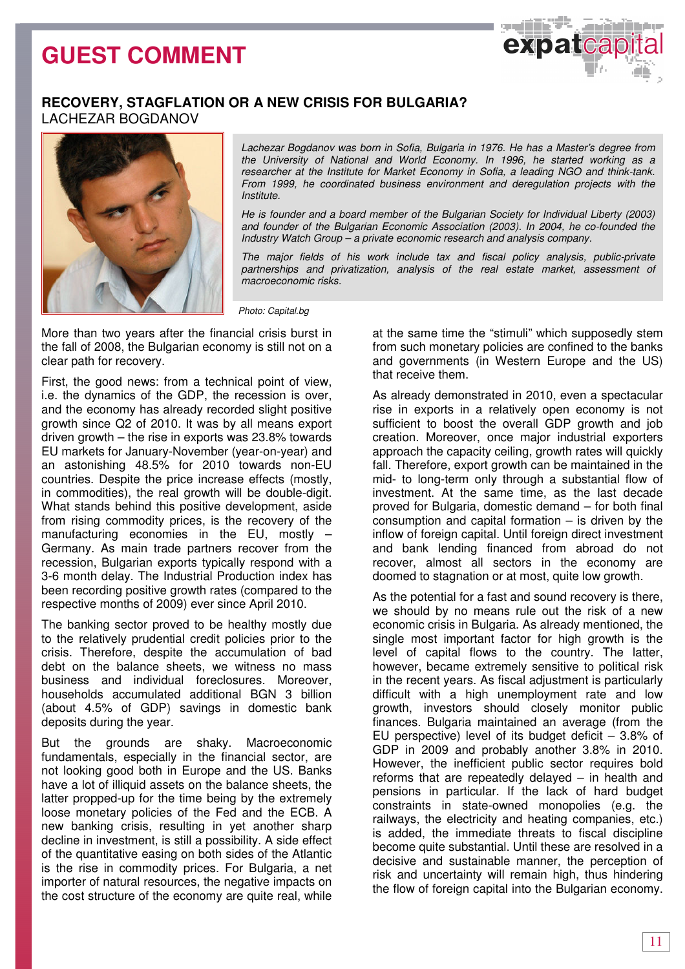## **GUEST COMMENT**



## **RECOVERY, STAGFLATION OR A NEW CRISIS FOR BULGARIA?** LACHEZAR BOGDANOV



Lachezar Bogdanov was born in Sofia, Bulgaria in 1976. He has a Master's degree from the University of National and World Economy. In 1996, he started working as a researcher at the Institute for Market Economy in Sofia, a leading NGO and think-tank. From 1999, he coordinated business environment and deregulation projects with the Institute.

He is founder and a board member of the Bulgarian Society for Individual Liberty (2003) and founder of the Bulgarian Economic Association (2003). In 2004, he co-founded the Industry Watch Group – a private economic research and analysis company.

The major fields of his work include tax and fiscal policy analysis, public-private partnerships and privatization, analysis of the real estate market, assessment of macroeconomic risks.

Photo: Capital.bg

More than two years after the financial crisis burst in the fall of 2008, the Bulgarian economy is still not on a clear path for recovery.

First, the good news: from a technical point of view, i.e. the dynamics of the GDP, the recession is over, and the economy has already recorded slight positive growth since Q2 of 2010. It was by all means export driven growth – the rise in exports was 23.8% towards EU markets for January-November (year-on-year) and an astonishing 48.5% for 2010 towards non-EU countries. Despite the price increase effects (mostly, in commodities), the real growth will be double-digit. What stands behind this positive development, aside from rising commodity prices, is the recovery of the manufacturing economies in the EU, mostly – Germany. As main trade partners recover from the recession, Bulgarian exports typically respond with a 3-6 month delay. The Industrial Production index has been recording positive growth rates (compared to the respective months of 2009) ever since April 2010.

The banking sector proved to be healthy mostly due to the relatively prudential credit policies prior to the crisis. Therefore, despite the accumulation of bad debt on the balance sheets, we witness no mass business and individual foreclosures. Moreover, households accumulated additional BGN 3 billion (about 4.5% of GDP) savings in domestic bank deposits during the year.

But the grounds are shaky. Macroeconomic fundamentals, especially in the financial sector, are not looking good both in Europe and the US. Banks have a lot of illiquid assets on the balance sheets, the latter propped-up for the time being by the extremely loose monetary policies of the Fed and the ECB. A new banking crisis, resulting in yet another sharp decline in investment, is still a possibility. A side effect of the quantitative easing on both sides of the Atlantic is the rise in commodity prices. For Bulgaria, a net importer of natural resources, the negative impacts on the cost structure of the economy are quite real, while

at the same time the "stimuli" which supposedly stem from such monetary policies are confined to the banks and governments (in Western Europe and the US) that receive them.

As already demonstrated in 2010, even a spectacular rise in exports in a relatively open economy is not sufficient to boost the overall GDP growth and job creation. Moreover, once major industrial exporters approach the capacity ceiling, growth rates will quickly fall. Therefore, export growth can be maintained in the mid- to long-term only through a substantial flow of investment. At the same time, as the last decade proved for Bulgaria, domestic demand – for both final consumption and capital formation  $-$  is driven by the inflow of foreign capital. Until foreign direct investment and bank lending financed from abroad do not recover, almost all sectors in the economy are doomed to stagnation or at most, quite low growth.

As the potential for a fast and sound recovery is there, we should by no means rule out the risk of a new economic crisis in Bulgaria. As already mentioned, the single most important factor for high growth is the level of capital flows to the country. The latter, however, became extremely sensitive to political risk in the recent years. As fiscal adjustment is particularly difficult with a high unemployment rate and low growth, investors should closely monitor public finances. Bulgaria maintained an average (from the EU perspective) level of its budget deficit – 3.8% of GDP in 2009 and probably another 3.8% in 2010. However, the inefficient public sector requires bold reforms that are repeatedly delayed – in health and pensions in particular. If the lack of hard budget constraints in state-owned monopolies (e.g. the railways, the electricity and heating companies, etc.) is added, the immediate threats to fiscal discipline become quite substantial. Until these are resolved in a decisive and sustainable manner, the perception of risk and uncertainty will remain high, thus hindering the flow of foreign capital into the Bulgarian economy.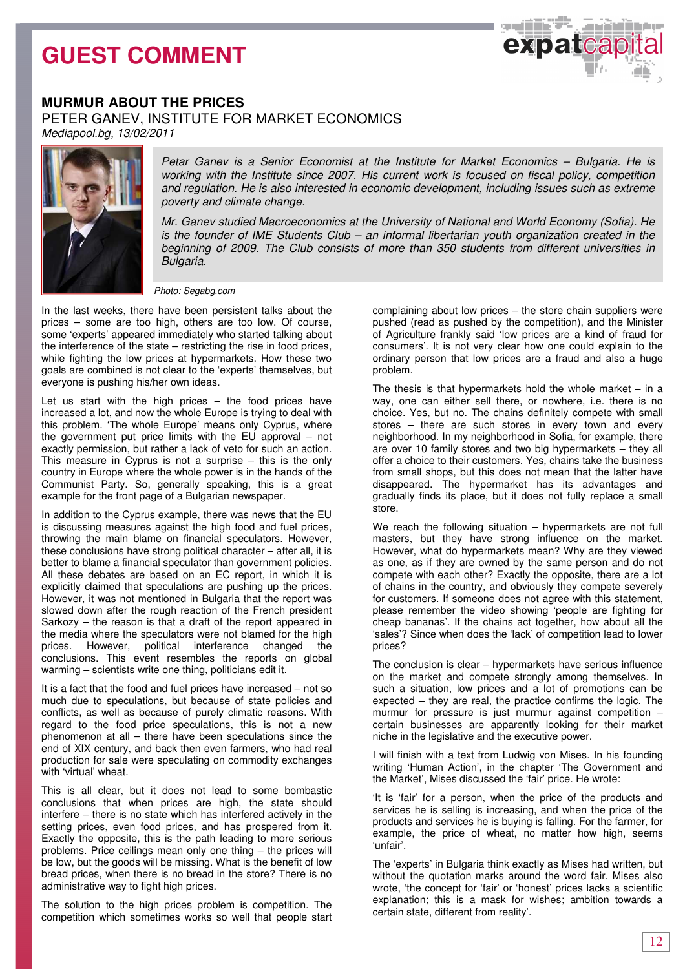## **GUEST COMMENT**



## **MURMUR ABOUT THE PRICES**

PETER GANEV, INSTITUTE FOR MARKET ECONOMICS

Mediapool.bg, 13/02/2011



Petar Ganev is a Senior Economist at the Institute for Market Economics – Bulgaria. He is working with the Institute since 2007. His current work is focused on fiscal policy, competition and regulation. He is also interested in economic development, including issues such as extreme poverty and climate change.

Mr. Ganev studied Macroeconomics at the University of National and World Economy (Sofia). He is the founder of IME Students Club – an informal libertarian youth organization created in the beginning of 2009. The Club consists of more than 350 students from different universities in Bulgaria.

Photo: Segabg.com

In the last weeks, there have been persistent talks about the prices – some are too high, others are too low. Of course, some 'experts' appeared immediately who started talking about the interference of the state – restricting the rise in food prices, while fighting the low prices at hypermarkets. How these two goals are combined is not clear to the 'experts' themselves, but everyone is pushing his/her own ideas.

Let us start with the high prices – the food prices have increased a lot, and now the whole Europe is trying to deal with this problem. 'The whole Europe' means only Cyprus, where the government put price limits with the EU approval – not exactly permission, but rather a lack of veto for such an action. This measure in Cyprus is not a surprise – this is the only country in Europe where the whole power is in the hands of the Communist Party. So, generally speaking, this is a great example for the front page of a Bulgarian newspaper.

In addition to the Cyprus example, there was news that the EU is discussing measures against the high food and fuel prices, throwing the main blame on financial speculators. However, these conclusions have strong political character – after all, it is better to blame a financial speculator than government policies. All these debates are based on an EC report, in which it is explicitly claimed that speculations are pushing up the prices. However, it was not mentioned in Bulgaria that the report was slowed down after the rough reaction of the French president Sarkozy – the reason is that a draft of the report appeared in the media where the speculators were not blamed for the high prices. However, political interference changed the conclusions. This event resembles the reports on global warming – scientists write one thing, politicians edit it.

It is a fact that the food and fuel prices have increased – not so much due to speculations, but because of state policies and conflicts, as well as because of purely climatic reasons. With regard to the food price speculations, this is not a new phenomenon at all – there have been speculations since the end of XIX century, and back then even farmers, who had real production for sale were speculating on commodity exchanges with 'virtual' wheat.

This is all clear, but it does not lead to some bombastic conclusions that when prices are high, the state should interfere – there is no state which has interfered actively in the setting prices, even food prices, and has prospered from it. Exactly the opposite, this is the path leading to more serious problems. Price ceilings mean only one thing – the prices will be low, but the goods will be missing. What is the benefit of low bread prices, when there is no bread in the store? There is no administrative way to fight high prices.

The solution to the high prices problem is competition. The competition which sometimes works so well that people start complaining about low prices – the store chain suppliers were pushed (read as pushed by the competition), and the Minister of Agriculture frankly said 'low prices are a kind of fraud for consumers'. It is not very clear how one could explain to the ordinary person that low prices are a fraud and also a huge problem.

The thesis is that hypermarkets hold the whole market  $-$  in a way, one can either sell there, or nowhere, i.e. there is no choice. Yes, but no. The chains definitely compete with small stores – there are such stores in every town and every neighborhood. In my neighborhood in Sofia, for example, there are over 10 family stores and two big hypermarkets – they all offer a choice to their customers. Yes, chains take the business from small shops, but this does not mean that the latter have disappeared. The hypermarket has its advantages and gradually finds its place, but it does not fully replace a small store.

We reach the following situation – hypermarkets are not full masters, but they have strong influence on the market. However, what do hypermarkets mean? Why are they viewed as one, as if they are owned by the same person and do not compete with each other? Exactly the opposite, there are a lot of chains in the country, and obviously they compete severely for customers. If someone does not agree with this statement, please remember the video showing 'people are fighting for cheap bananas'. If the chains act together, how about all the 'sales'? Since when does the 'lack' of competition lead to lower prices?

The conclusion is clear – hypermarkets have serious influence on the market and compete strongly among themselves. In such a situation, low prices and a lot of promotions can be expected – they are real, the practice confirms the logic. The murmur for pressure is just murmur against competition – certain businesses are apparently looking for their market niche in the legislative and the executive power.

I will finish with a text from Ludwig von Mises. In his founding writing 'Human Action', in the chapter 'The Government and the Market', Mises discussed the 'fair' price. He wrote:

'It is 'fair' for a person, when the price of the products and services he is selling is increasing, and when the price of the products and services he is buying is falling. For the farmer, for example, the price of wheat, no matter how high, seems 'unfair'.

The 'experts' in Bulgaria think exactly as Mises had written, but without the quotation marks around the word fair. Mises also wrote, 'the concept for 'fair' or 'honest' prices lacks a scientific explanation; this is a mask for wishes; ambition towards a certain state, different from reality'.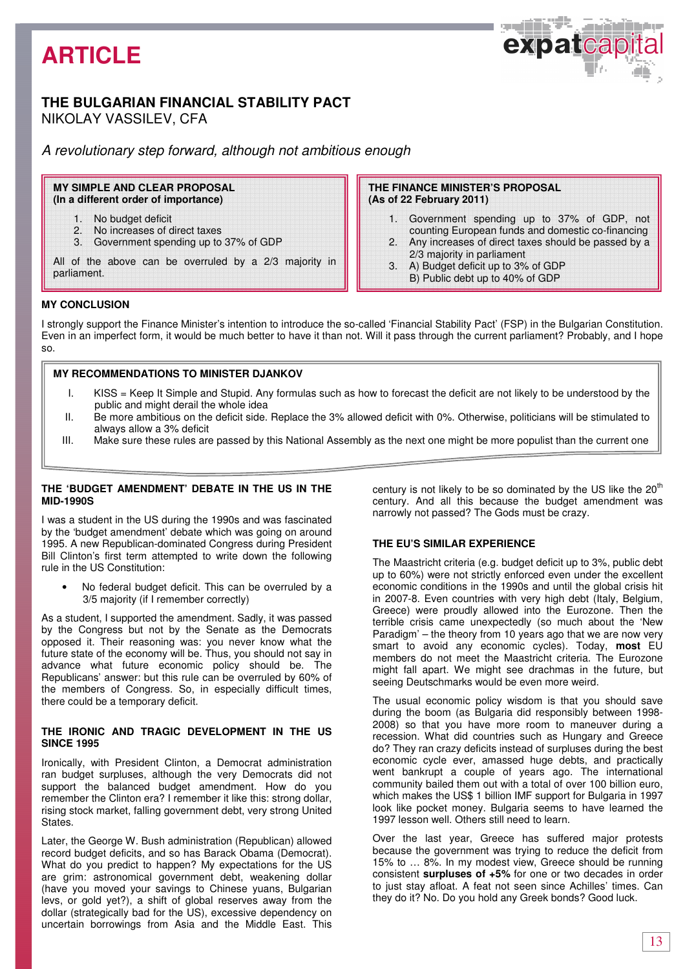## **ARTICLE**

## **THE BULGARIAN FINANCIAL STABILITY PACT**  NIKOLAY VASSILEV, CFA

A revolutionary step forward, although not ambitious enough

**MY SIMPLE AND CLEAR PROPOSAL (In a different order of importance)** 

- 1. No budget deficit
- 2. No increases of direct taxes
- 3. Government spending up to 37% of GDP

All of the above can be overruled by a 2/3 majority in parliament.

**THE FINANCE MINISTER'S PROPOSAL (As of 22 February 2011)** 

1. Government spending up to 37% of GDP, not counting European funds and domestic co-financing

فالألالي

expatcap

- 2. Any increases of direct taxes should be passed by a 2/3 majority in parliament
- 3. A) Budget deficit up to 3% of GDP
- B) Public debt up to 40% of GDP

### **MY CONCLUSION**

I strongly support the Finance Minister's intention to introduce the so-called 'Financial Stability Pact' (FSP) in the Bulgarian Constitution. Even in an imperfect form, it would be much better to have it than not. Will it pass through the current parliament? Probably, and I hope so.

I

### **MY RECOMMENDATIONS TO MINISTER DJANKOV**

- I. KISS = Keep It Simple and Stupid. Any formulas such as how to forecast the deficit are not likely to be understood by the public and might derail the whole idea
- II. Be more ambitious on the deficit side. Replace the 3% allowed deficit with 0%. Otherwise, politicians will be stimulated to always allow a 3% deficit
- III. Make sure these rules are passed by this National Assembly as the next one might be more populist than the current one

#### **THE 'BUDGET AMENDMENT' DEBATE IN THE US IN THE MID-1990S**

I was a student in the US during the 1990s and was fascinated by the 'budget amendment' debate which was going on around 1995. A new Republican-dominated Congress during President Bill Clinton's first term attempted to write down the following rule in the US Constitution:

• No federal budget deficit. This can be overruled by a 3/5 majority (if I remember correctly)

As a student, I supported the amendment. Sadly, it was passed by the Congress but not by the Senate as the Democrats opposed it. Their reasoning was: you never know what the future state of the economy will be. Thus, you should not say in advance what future economic policy should be. The Republicans' answer: but this rule can be overruled by 60% of the members of Congress. So, in especially difficult times, there could be a temporary deficit.

#### **THE IRONIC AND TRAGIC DEVELOPMENT IN THE US SINCE 1995**

Ironically, with President Clinton, a Democrat administration ran budget surpluses, although the very Democrats did not support the balanced budget amendment. How do you remember the Clinton era? I remember it like this: strong dollar, rising stock market, falling government debt, very strong United States.

Later, the George W. Bush administration (Republican) allowed record budget deficits, and so has Barack Obama (Democrat). What do you predict to happen? My expectations for the US are grim: astronomical government debt, weakening dollar (have you moved your savings to Chinese yuans, Bulgarian levs, or gold yet?), a shift of global reserves away from the dollar (strategically bad for the US), excessive dependency on uncertain borrowings from Asia and the Middle East. This century is not likely to be so dominated by the US like the 20<sup>th</sup> century. And all this because the budget amendment was narrowly not passed? The Gods must be crazy.

## **THE EU'S SIMILAR EXPERIENCE**

The Maastricht criteria (e.g. budget deficit up to 3%, public debt up to 60%) were not strictly enforced even under the excellent economic conditions in the 1990s and until the global crisis hit in 2007-8. Even countries with very high debt (Italy, Belgium, Greece) were proudly allowed into the Eurozone. Then the terrible crisis came unexpectedly (so much about the 'New Paradigm' – the theory from 10 years ago that we are now very smart to avoid any economic cycles). Today, most EU members do not meet the Maastricht criteria. The Eurozone might fall apart. We might see drachmas in the future, but seeing Deutschmarks would be even more weird.

The usual economic policy wisdom is that you should save during the boom (as Bulgaria did responsibly between 1998- 2008) so that you have more room to maneuver during a recession. What did countries such as Hungary and Greece do? They ran crazy deficits instead of surpluses during the best economic cycle ever, amassed huge debts, and practically went bankrupt a couple of years ago. The international community bailed them out with a total of over 100 billion euro, which makes the US\$ 1 billion IMF support for Bulgaria in 1997 look like pocket money. Bulgaria seems to have learned the 1997 lesson well. Others still need to learn.

Over the last year, Greece has suffered major protests because the government was trying to reduce the deficit from 15% to … 8%. In my modest view, Greece should be running consistent **surpluses of +5%** for one or two decades in order to just stay afloat. A feat not seen since Achilles' times. Can they do it? No. Do you hold any Greek bonds? Good luck.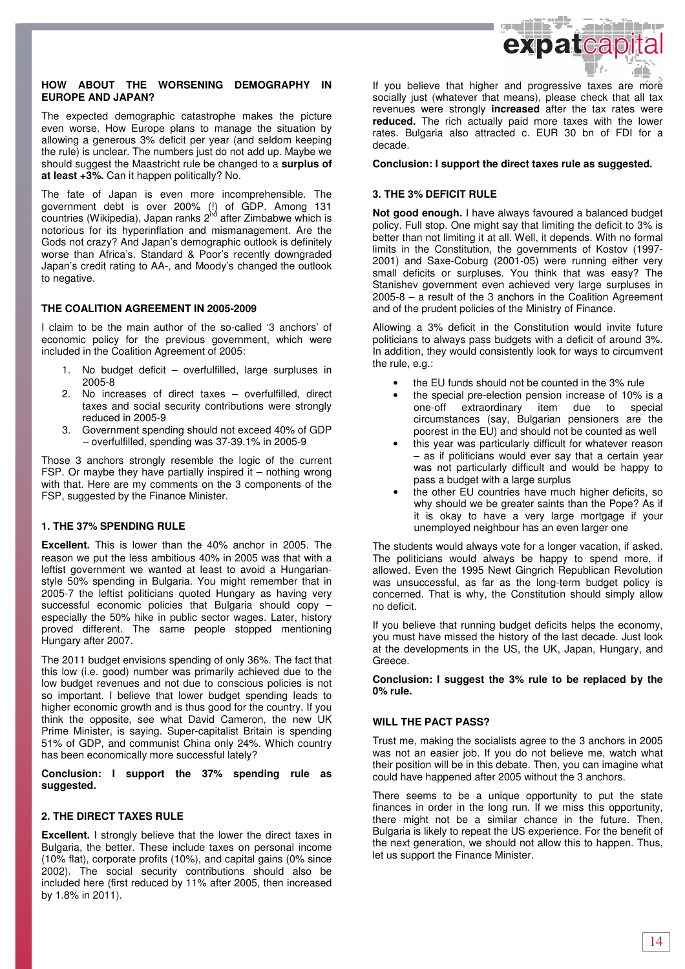

#### **HOW ABOUT THE WORSENING DEMOGRAPHY IN EUROPE AND JAPAN?**

The expected demographic catastrophe makes the picture even worse. How Europe plans to manage the situation by allowing a generous 3% deficit per year (and seldom keeping the rule) is unclear. The numbers just do not add up. Maybe we should suggest the Maastricht rule be changed to a **surplus of at least +3%.** Can it happen politically? No.

The fate of Japan is even more incomprehensible. The government debt is over 200% (!) of GDP. Among 131 countries (Wikipedia), Japan ranks 2<sup>hd</sup> after Zimbabwe which is notorious for its hyperinflation and mismanagement. Are the Gods not crazy? And Japan's demographic outlook is definitely worse than Africa's. Standard & Poor's recently downgraded Japan's credit rating to AA-, and Moody's changed the outlook to negative.

### **THE COALITION AGREEMENT IN 2005-2009**

I claim to be the main author of the so-called '3 anchors' of economic policy for the previous government, which were included in the Coalition Agreement of 2005:

- 1. No budget deficit overfulfilled, large surpluses in 2005-8
- 2. No increases of direct taxes overfulfilled, direct taxes and social security contributions were strongly reduced in 2005-9
- 3. Government spending should not exceed 40% of GDP – overfulfilled, spending was 37-39.1% in 2005-9

Those 3 anchors strongly resemble the logic of the current FSP. Or maybe they have partially inspired it  $-$  nothing wrong with that. Here are my comments on the 3 components of the FSP, suggested by the Finance Minister.

## **1. THE 37% SPENDING RULE**

**Excellent.** This is lower than the 40% anchor in 2005. The reason we put the less ambitious 40% in 2005 was that with a leftist government we wanted at least to avoid a Hungarianstyle 50% spending in Bulgaria. You might remember that in 2005-7 the leftist politicians quoted Hungary as having very successful economic policies that Bulgaria should copy – especially the 50% hike in public sector wages. Later, history proved different. The same people stopped mentioning Hungary after 2007.

The 2011 budget envisions spending of only 36%. The fact that this low (i.e. good) number was primarily achieved due to the low budget revenues and not due to conscious policies is not so important. I believe that lower budget spending leads to higher economic growth and is thus good for the country. If you think the opposite, see what David Cameron, the new UK Prime Minister, is saying. Super-capitalist Britain is spending 51% of GDP, and communist China only 24%. Which country has been economically more successful lately?

**Conclusion: I support the 37% spending rule as suggested.** 

#### **2. THE DIRECT TAXES RULE**

**Excellent.** I strongly believe that the lower the direct taxes in Bulgaria, the better. These include taxes on personal income (10% flat), corporate profits (10%), and capital gains (0% since 2002). The social security contributions should also be included here (first reduced by 11% after 2005, then increased by 1.8% in 2011).

If you believe that higher and progressive taxes are more socially just (whatever that means), please check that all tax revenues were strongly **increased** after the tax rates were **reduced.** The rich actually paid more taxes with the lower rates. Bulgaria also attracted c. EUR 30 bn of FDI for a decade.

#### **Conclusion: I support the direct taxes rule as suggested.**

#### **3. THE 3% DEFICIT RULE**

**Not good enough.** I have always favoured a balanced budget policy. Full stop. One might say that limiting the deficit to 3% is better than not limiting it at all. Well, it depends. With no formal limits in the Constitution, the governments of Kostov (1997- 2001) and Saxe-Coburg (2001-05) were running either very small deficits or surpluses. You think that was easy? The Stanishev government even achieved very large surpluses in 2005-8 – a result of the 3 anchors in the Coalition Agreement and of the prudent policies of the Ministry of Finance.

Allowing a 3% deficit in the Constitution would invite future politicians to always pass budgets with a deficit of around 3%. In addition, they would consistently look for ways to circumvent the rule, e.g.:

- the EU funds should not be counted in the 3% rule
- the special pre-election pension increase of 10% is a<br>one-off extraordinary item due to special item due to special circumstances (say, Bulgarian pensioners are the poorest in the EU) and should not be counted as well
- this year was particularly difficult for whatever reason – as if politicians would ever say that a certain year was not particularly difficult and would be happy to pass a budget with a large surplus
- the other EU countries have much higher deficits, so why should we be greater saints than the Pope? As if it is okay to have a very large mortgage if your unemployed neighbour has an even larger one

The students would always vote for a longer vacation, if asked. The politicians would always be happy to spend more, if allowed. Even the 1995 Newt Gingrich Republican Revolution was unsuccessful, as far as the long-term budget policy is concerned. That is why, the Constitution should simply allow no deficit.

If you believe that running budget deficits helps the economy, you must have missed the history of the last decade. Just look at the developments in the US, the UK, Japan, Hungary, and Greece.

**Conclusion: I suggest the 3% rule to be replaced by the 0% rule.** 

#### **WILL THE PACT PASS?**

Trust me, making the socialists agree to the 3 anchors in 2005 was not an easier job. If you do not believe me, watch what their position will be in this debate. Then, you can imagine what could have happened after 2005 without the 3 anchors.

There seems to be a unique opportunity to put the state finances in order in the long run. If we miss this opportunity, there might not be a similar chance in the future. Then, Bulgaria is likely to repeat the US experience. For the benefit of the next generation, we should not allow this to happen. Thus, let us support the Finance Minister.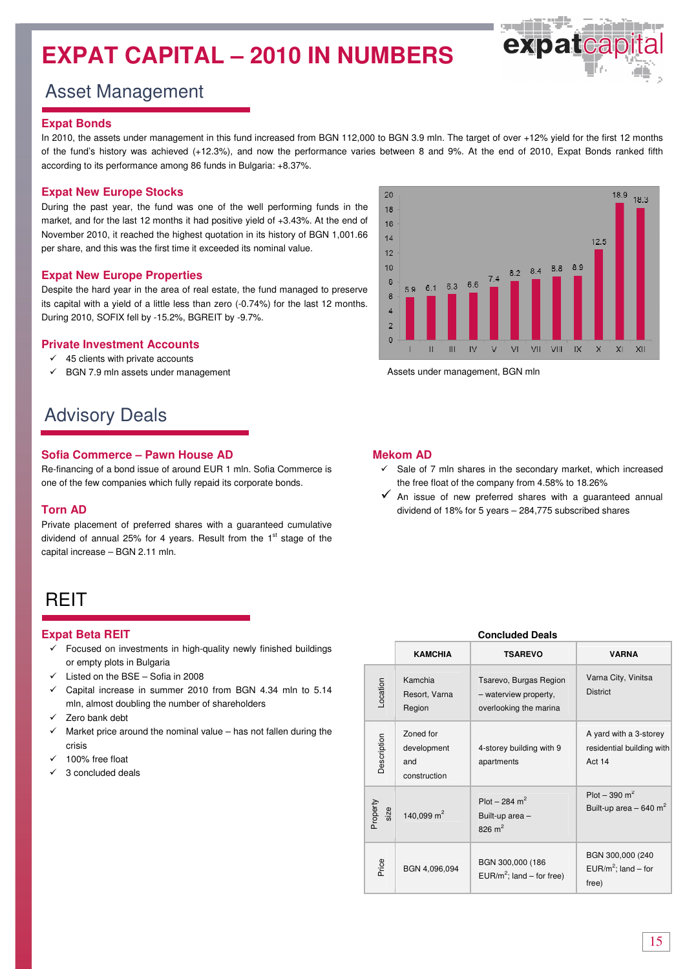## **EXPAT CAPITAL – 2010 IN NUMBERS**



## Asset Management

#### **Expat Bonds**

In 2010, the assets under management in this fund increased from BGN 112,000 to BGN 3.9 mln. The target of over +12% yield for the first 12 months of the fund's history was achieved (+12.3%), and now the performance varies between 8 and 9%. At the end of 2010, Expat Bonds ranked fifth according to its performance among 86 funds in Bulgaria: +8.37%.

## **Expat New Europe Stocks**

During the past year, the fund was one of the well performing funds in the market, and for the last 12 months it had positive yield of +3.43%. At the end of November 2010, it reached the highest quotation in its history of BGN 1,001.66 per share, and this was the first time it exceeded its nominal value.

### **Expat New Europe Properties**

Despite the hard year in the area of real estate, the fund managed to preserve its capital with a yield of a little less than zero (-0.74%) for the last 12 months. During 2010, SOFIX fell by -15.2%, BGREIT by -9.7%.

#### **Private Investment Accounts**

- $\checkmark$  45 clients with private accounts
- $\checkmark$ BGN 7.9 mln assets under management

## Advisory Deals

### **Sofia Commerce – Pawn House AD**

Re-financing of a bond issue of around EUR 1 mln. Sofia Commerce is one of the few companies which fully repaid its corporate bonds.

#### **Torn AD**

Private placement of preferred shares with a guaranteed cumulative dividend of annual 25% for 4 years. Result from the 1<sup>st</sup> stage of the capital increase – BGN 2.11 mln.

## **RFIT**

## **Expat Beta REIT**

- $\checkmark$  Focused on investments in high-quality newly finished buildings or empty plots in Bulgaria
- $\checkmark$  Listed on the BSE Sofia in 2008
- $\checkmark$  Capital increase in summer 2010 from BGN 4.34 mln to 5.14 mln, almost doubling the number of shareholders
- $\checkmark$ Zero bank debt
- $\overline{\mathcal{L}}$  Market price around the nominal value – has not fallen during the crisis
- $\checkmark$ 100% free float
- $\checkmark$ 3 concluded deals



Assets under management, BGN mln

## **Mekom AD**

- $\checkmark$  Sale of 7 mln shares in the secondary market, which increased the free float of the company from 4.58% to 18.26%
- $\checkmark$  An issue of new preferred shares with a guaranteed annual dividend of 18% for 5 years – 284,775 subscribed shares

| <b>Concluded Deals</b> |                                                 |                                                                           |                                                                   |  |  |  |  |
|------------------------|-------------------------------------------------|---------------------------------------------------------------------------|-------------------------------------------------------------------|--|--|--|--|
|                        | <b>KAMCHIA</b>                                  | <b>TSAREVO</b>                                                            | <b>VARNA</b>                                                      |  |  |  |  |
| Location               | Kamchia<br>Resort, Varna<br>Region              | Tsarevo, Burgas Region<br>- waterview property,<br>overlooking the marina | Varna City, Vinitsa<br><b>District</b>                            |  |  |  |  |
| Description            | Zoned for<br>development<br>and<br>construction | 4-storey building with 9<br>apartments                                    | A yard with a 3-storey<br>residential building with<br>Act 14     |  |  |  |  |
| Property<br>size       | 140,099 $m2$                                    | Plot – 284 m <sup>2</sup><br>Built-up area-<br>826 $m2$                   | Plot $-390$ m <sup>2</sup><br>Built-up area $-640$ m <sup>2</sup> |  |  |  |  |
| Price                  | BGN 4,096,094                                   | BGN 300,000 (186<br>EUR/ $m^2$ ; land – for free)                         | BGN 300,000 (240<br>EUR/m <sup>2</sup> ; land – for<br>free)      |  |  |  |  |